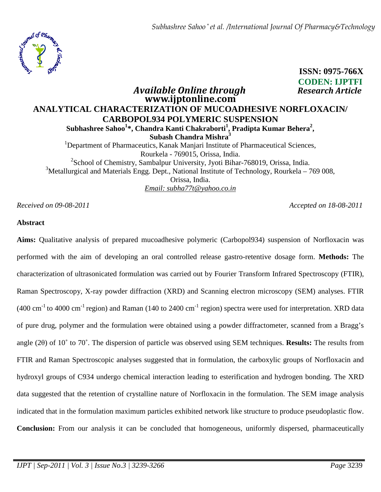

# **ISSN: 0975-766X CODEN: IJPTFI**   *Available Online through Research Article*  **www.ijptonline.com**

# **ANALYTICAL CHARACTERIZATION OF MUCOADHESIVE NORFLOXACIN/ CARBOPOL934 POLYMERIC SUSPENSION Subhashree Sahoo<sup>1</sup> \*, Chandra Kanti Chakraborti<sup>1</sup> , Pradipta Kumar Behera<sup>2</sup> , Subash Chandra Mishra<sup>3</sup>** <sup>1</sup>Department of Pharmaceutics, Kanak Manjari Institute of Pharmaceutical Sciences, Rourkela - 769015, Orissa, India. <sup>2</sup>School of Chemistry, Sambalpur University, Jyoti Bihar-768019, Orissa, India. <sup>3</sup>Metallurgical and Materials Engg. Dept., National Institute of Technology, Rourkela – 769 008, Orissa, India.

*Email: subha77t@yahoo.co.in*

*Received on 09-08-2011 Accepted on 18-08-2011*

# **Abstract**

**Aims:** Qualitative analysis of prepared mucoadhesive polymeric (Carbopol934) suspension of Norfloxacin was performed with the aim of developing an oral controlled release gastro-retentive dosage form. **Methods:** The characterization of ultrasonicated formulation was carried out by Fourier Transform Infrared Spectroscopy (FTIR), Raman Spectroscopy, X-ray powder diffraction (XRD) and Scanning electron microscopy (SEM) analyses. FTIR (400 cm<sup>-1</sup> to 4000 cm<sup>-1</sup> region) and Raman (140 to 2400 cm<sup>-1</sup> region) spectra were used for interpretation. XRD data of pure drug, polymer and the formulation were obtained using a powder diffractometer, scanned from a Bragg's angle (2θ) of 10˚ to 70˚. The dispersion of particle was observed using SEM techniques. **Results:** The results from FTIR and Raman Spectroscopic analyses suggested that in formulation, the carboxylic groups of Norfloxacin and hydroxyl groups of C934 undergo chemical interaction leading to esterification and hydrogen bonding. The XRD data suggested that the retention of crystalline nature of Norfloxacin in the formulation. The SEM image analysis indicated that in the formulation maximum particles exhibited network like structure to produce pseudoplastic flow. **Conclusion:** From our analysis it can be concluded that homogeneous, uniformly dispersed, pharmaceutically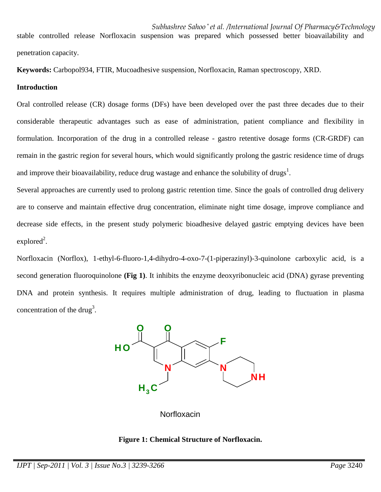*Subhashree Sahoo \* et al. /International Journal Of Pharmacy&Technology* stable controlled release Norfloxacin suspension was prepared which possessed better bioavailability and penetration capacity.

**Keywords:** Carbopol934, FTIR, Mucoadhesive suspension, Norfloxacin, Raman spectroscopy, XRD.

### **Introduction**

Oral controlled release (CR) dosage forms (DFs) have been developed over the past three decades due to their considerable therapeutic advantages such as ease of administration, patient compliance and flexibility in formulation. Incorporation of the drug in a controlled release - gastro retentive dosage forms (CR-GRDF) can remain in the gastric region for several hours, which would significantly prolong the gastric residence time of drugs and improve their bioavailability, reduce drug wastage and enhance the solubility of drugs<sup>1</sup>.

Several approaches are currently used to prolong gastric retention time. Since the goals of controlled drug delivery are to conserve and maintain effective drug concentration, eliminate night time dosage, improve compliance and decrease side effects, in the present study polymeric bioadhesive delayed gastric emptying devices have been  $explored<sup>2</sup>$ .

Norfloxacin (Norflox), 1-ethyl-6-fluoro-1,4-dihydro-4-oxo-7-(1-piperazinyl)-3-quinolone carboxylic acid, is a second generation fluoroquinolone **(Fig 1)**. It inhibits the enzyme deoxyribonucleic acid (DNA) gyrase preventing DNA and protein synthesis. It requires multiple administration of drug, leading to fluctuation in plasma concentration of the drug<sup>3</sup>.



**Norfloxacin** 

#### **Figure 1: Chemical Structure of Norfloxacin.**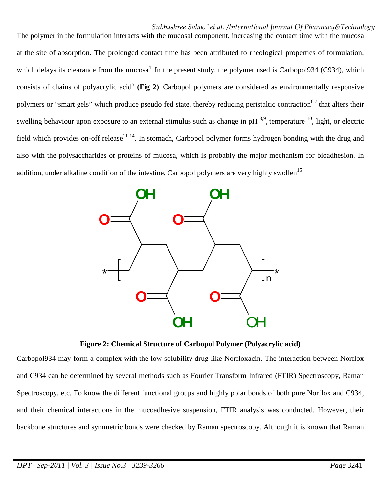The polymer in the formulation interacts with the mucosal component, increasing the contact time with the mucosa at the site of absorption. The prolonged contact time has been attributed to rheological properties of formulation, which delays its clearance from the mucosa<sup>4</sup>. In the present study, the polymer used is Carbopol934 (C934), which consists of chains of polyacrylic acid<sup>5</sup> (Fig 2). Carbopol polymers are considered as environmentally responsive polymers or "smart gels" which produce pseudo fed state, thereby reducing peristaltic contraction<sup>6,7</sup> that alters their swelling behaviour upon exposure to an external stimulus such as change in pH  $^{8,9}$ , temperature  $^{10}$ , light, or electric field which provides on-off release<sup>11-14</sup>. In stomach, Carbopol polymer forms hydrogen bonding with the drug and also with the polysaccharides or proteins of mucosa, which is probably the major mechanism for bioadhesion. In addition, under alkaline condition of the intestine, Carbopol polymers are very highly swollen<sup>15</sup>.



**Figure 2: Chemical Structure of Carbopol Polymer (Polyacrylic acid)** 

Carbopol934 may form a complex with the low solubility drug like Norfloxacin. The interaction between Norflox and C934 can be determined by several methods such as Fourier Transform Infrared (FTIR) Spectroscopy, Raman Spectroscopy, etc. To know the different functional groups and highly polar bonds of both pure Norflox and C934, and their chemical interactions in the mucoadhesive suspension, FTIR analysis was conducted. However, their backbone structures and symmetric bonds were checked by Raman spectroscopy. Although it is known that Raman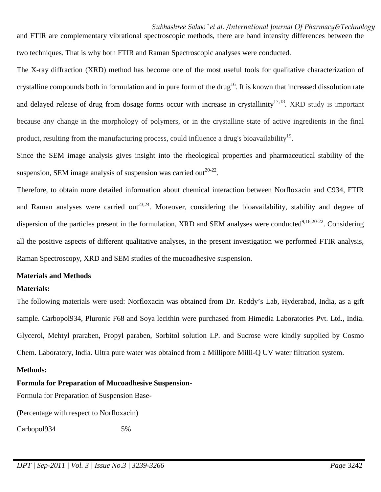*Subhashree Sahoo \* et al. /International Journal Of Pharmacy&Technology* and FTIR are complementary vibrational spectroscopic methods, there are band intensity differences between the two techniques. That is why both FTIR and Raman Spectroscopic analyses were conducted.

The X-ray diffraction (XRD) method has become one of the most useful tools for qualitative characterization of crystalline compounds both in formulation and in pure form of the drug<sup>16</sup>. It is known that increased dissolution rate and delayed release of drug from dosage forms occur with increase in crystallinity<sup>17,18</sup>. XRD study is important because any change in the morphology of polymers, or in the crystalline state of active ingredients in the final product, resulting from the manufacturing process, could influence a drug's bioavailability<sup>19</sup>.

Since the SEM image analysis gives insight into the rheological properties and pharmaceutical stability of the suspension, SEM image analysis of suspension was carried out $^{20-22}$ .

Therefore, to obtain more detailed information about chemical interaction between Norfloxacin and C934, FTIR and Raman analyses were carried out<sup>23,24</sup>. Moreover, considering the bioavailability, stability and degree of dispersion of the particles present in the formulation, XRD and SEM analyses were conducted<sup>9,16,20-22</sup>. Considering all the positive aspects of different qualitative analyses, in the present investigation we performed FTIR analysis, Raman Spectroscopy, XRD and SEM studies of the mucoadhesive suspension.

# **Materials and Methods**

# **Materials:**

The following materials were used: Norfloxacin was obtained from Dr. Reddy's Lab, Hyderabad, India, as a gift sample. Carbopol934, Pluronic F68 and Soya lecithin were purchased from Himedia Laboratories Pvt. Ltd., India. Glycerol, Mehtyl praraben, Propyl paraben, Sorbitol solution I.P. and Sucrose were kindly supplied by Cosmo Chem. Laboratory, India. Ultra pure water was obtained from a Millipore Milli-Q UV water filtration system.

#### **Methods:**

# **Formula for Preparation of Mucoadhesive Suspension-**

Formula for Preparation of Suspension Base-

(Percentage with respect to Norfloxacin)

Carbopol934 5%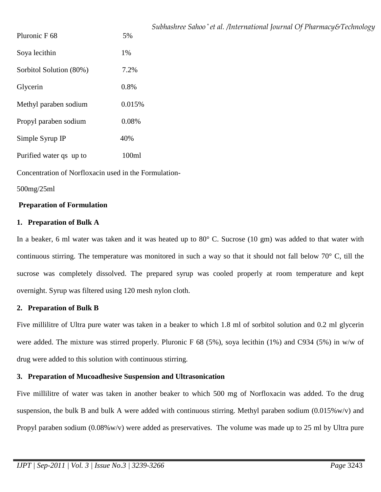|                         |        | Subhashree Sahoo* et al. /International Journal Of Pharmacy&Technology |
|-------------------------|--------|------------------------------------------------------------------------|
| Pluronic F 68           | 5%     |                                                                        |
| Soya lecithin           | 1%     |                                                                        |
| Sorbitol Solution (80%) | 7.2%   |                                                                        |
| Glycerin                | 0.8%   |                                                                        |
| Methyl paraben sodium   | 0.015% |                                                                        |
| Propyl paraben sodium   | 0.08%  |                                                                        |
| Simple Syrup IP         | 40%    |                                                                        |
| Purified water qs up to | 100ml  |                                                                        |
|                         |        |                                                                        |

Concentration of Norfloxacin used in the Formulation-

# 500mg/25ml

# **Preparation of Formulation**

#### **1. Preparation of Bulk A**

In a beaker, 6 ml water was taken and it was heated up to 80 $^{\circ}$  C. Sucrose (10 gm) was added to that water with continuous stirring. The temperature was monitored in such a way so that it should not fall below 70° C, till the sucrose was completely dissolved. The prepared syrup was cooled properly at room temperature and kept overnight. Syrup was filtered using 120 mesh nylon cloth.

# **2. Preparation of Bulk B**

Five millilitre of Ultra pure water was taken in a beaker to which 1.8 ml of sorbitol solution and 0.2 ml glycerin were added. The mixture was stirred properly. Pluronic F 68 (5%), soya lecithin (1%) and C934 (5%) in w/w of drug were added to this solution with continuous stirring.

# **3. Preparation of Mucoadhesive Suspension and Ultrasonication**

Five millilitre of water was taken in another beaker to which 500 mg of Norfloxacin was added. To the drug suspension, the bulk B and bulk A were added with continuous stirring. Methyl paraben sodium  $(0.015\% w/v)$  and Propyl paraben sodium (0.08%w/v) were added as preservatives. The volume was made up to 25 ml by Ultra pure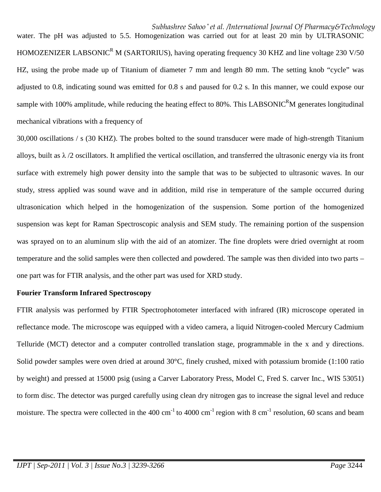*Subhashree Sahoo \* et al. /International Journal Of Pharmacy&Technology* water. The pH was adjusted to 5.5. Homogenization was carried out for at least 20 min by ULTRASONIC HOMOZENIZER LABSONIC<sup>R</sup> M (SARTORIUS), having operating frequency 30 KHZ and line voltage 230 V/50 HZ, using the probe made up of Titanium of diameter 7 mm and length 80 mm. The setting knob "cycle" was adjusted to 0.8, indicating sound was emitted for 0.8 s and paused for 0.2 s. In this manner, we could expose our sample with 100% amplitude, while reducing the heating effect to 80%. This LABSONIC<sup>R</sup>M generates longitudinal mechanical vibrations with a frequency of

30,000 oscillations / s (30 KHZ). The probes bolted to the sound transducer were made of high-strength Titanium alloys, built as  $\lambda/2$  oscillators. It amplified the vertical oscillation, and transferred the ultrasonic energy via its front surface with extremely high power density into the sample that was to be subjected to ultrasonic waves. In our study, stress applied was sound wave and in addition, mild rise in temperature of the sample occurred during ultrasonication which helped in the homogenization of the suspension. Some portion of the homogenized suspension was kept for Raman Spectroscopic analysis and SEM study. The remaining portion of the suspension was sprayed on to an aluminum slip with the aid of an atomizer. The fine droplets were dried overnight at room temperature and the solid samples were then collected and powdered. The sample was then divided into two parts – one part was for FTIR analysis, and the other part was used for XRD study.

#### **Fourier Transform Infrared Spectroscopy**

FTIR analysis was performed by FTIR Spectrophotometer interfaced with infrared (IR) microscope operated in reflectance mode. The microscope was equipped with a video camera, a liquid Nitrogen-cooled Mercury Cadmium Telluride (MCT) detector and a computer controlled translation stage, programmable in the x and y directions. Solid powder samples were oven dried at around 30°C, finely crushed, mixed with potassium bromide (1:100 ratio by weight) and pressed at 15000 psig (using a Carver Laboratory Press, Model C, Fred S. carver Inc., WIS 53051) to form disc. The detector was purged carefully using clean dry nitrogen gas to increase the signal level and reduce moisture. The spectra were collected in the 400 cm<sup>-1</sup> to 4000 cm<sup>-1</sup> region with 8 cm<sup>-1</sup> resolution, 60 scans and beam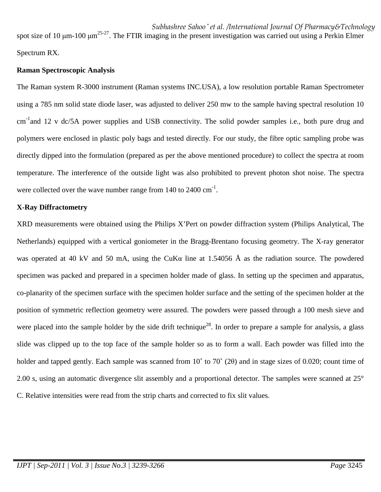*Subhashree Sahoo \* et al. /International Journal Of Pharmacy&Technology* spot size of 10  $\mu$ m-100  $\mu$ m<sup>25-27</sup>. The FTIR imaging in the present investigation was carried out using a Perkin Elmer Spectrum RX.

# **Raman Spectroscopic Analysis**

The Raman system R-3000 instrument (Raman systems INC.USA), a low resolution portable Raman Spectrometer using a 785 nm solid state diode laser, was adjusted to deliver 250 mw to the sample having spectral resolution 10  $cm^{-1}$ and 12 v dc/5A power supplies and USB connectivity. The solid powder samples i.e., both pure drug and polymers were enclosed in plastic poly bags and tested directly. For our study, the fibre optic sampling probe was directly dipped into the formulation (prepared as per the above mentioned procedure) to collect the spectra at room temperature. The interference of the outside light was also prohibited to prevent photon shot noise. The spectra were collected over the wave number range from  $140$  to  $2400 \text{ cm}^{-1}$ .

# **X-Ray Diffractometry**

XRD measurements were obtained using the Philips X'Pert on powder diffraction system (Philips Analytical, The Netherlands) equipped with a vertical goniometer in the Bragg-Brentano focusing geometry. The X-ray generator was operated at 40 kV and 50 mA, using the CuKα line at 1.54056 Å as the radiation source. The powdered specimen was packed and prepared in a specimen holder made of glass. In setting up the specimen and apparatus, co-planarity of the specimen surface with the specimen holder surface and the setting of the specimen holder at the position of symmetric reflection geometry were assured. The powders were passed through a 100 mesh sieve and were placed into the sample holder by the side drift technique<sup>28</sup>. In order to prepare a sample for analysis, a glass slide was clipped up to the top face of the sample holder so as to form a wall. Each powder was filled into the holder and tapped gently. Each sample was scanned from 10˚ to 70˚ (2θ) and in stage sizes of 0.020; count time of 2.00 s, using an automatic divergence slit assembly and a proportional detector. The samples were scanned at 25° C. Relative intensities were read from the strip charts and corrected to fix slit values.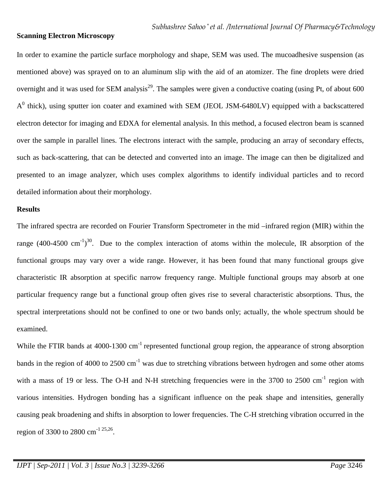#### **Scanning Electron Microscopy**

In order to examine the particle surface morphology and shape, SEM was used. The mucoadhesive suspension (as mentioned above) was sprayed on to an aluminum slip with the aid of an atomizer. The fine droplets were dried overnight and it was used for SEM analysis<sup>29</sup>. The samples were given a conductive coating (using Pt, of about 600  $A<sup>0</sup>$  thick), using sputter ion coater and examined with SEM (JEOL JSM-6480LV) equipped with a backscattered electron detector for imaging and EDXA for elemental analysis. In this method, a focused electron beam is scanned over the sample in parallel lines. The electrons interact with the sample, producing an array of secondary effects, such as back-scattering, that can be detected and converted into an image. The image can then be digitalized and presented to an image analyzer, which uses complex algorithms to identify individual particles and to record detailed information about their morphology.

#### **Results**

The infrared spectra are recorded on Fourier Transform Spectrometer in the mid –infrared region (MIR) within the range (400-4500 cm<sup>-1</sup>)<sup>30</sup>. Due to the complex interaction of atoms within the molecule, IR absorption of the functional groups may vary over a wide range. However, it has been found that many functional groups give characteristic IR absorption at specific narrow frequency range. Multiple functional groups may absorb at one particular frequency range but a functional group often gives rise to several characteristic absorptions. Thus, the spectral interpretations should not be confined to one or two bands only; actually, the whole spectrum should be examined.

While the FTIR bands at 4000-1300 cm<sup>-1</sup> represented functional group region, the appearance of strong absorption bands in the region of 4000 to 2500 cm<sup>-1</sup> was due to stretching vibrations between hydrogen and some other atoms with a mass of 19 or less. The O-H and N-H stretching frequencies were in the 3700 to 2500 cm<sup>-1</sup> region with various intensities. Hydrogen bonding has a significant influence on the peak shape and intensities, generally causing peak broadening and shifts in absorption to lower frequencies. The C-H stretching vibration occurred in the region of 3300 to 2800 cm<sup>-1 25,26</sup>.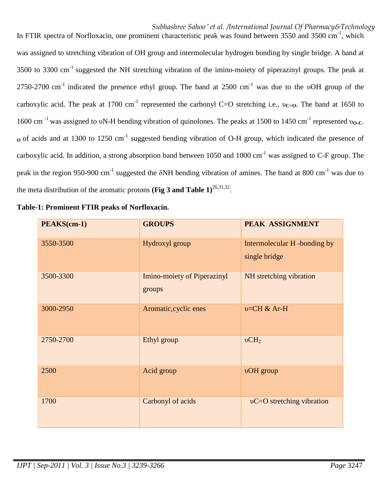In FTIR spectra of Norfloxacin, one prominent characteristic peak was found between 3550 and 3500 cm<sup>-1</sup>, which was assigned to stretching vibration of OH group and intermolecular hydrogen bonding by single bridge. A band at 3500 to 3300 cm-1 suggested the NH stretching vibration of the imino-moiety of piperazinyl groups. The peak at 2750-2700 cm<sup>-1</sup> indicated the presence ethyl group. The band at 2500 cm<sup>-1</sup> was due to the υOH group of the carboxylic acid. The peak at 1700 cm<sup>-1</sup> represented the carbonyl C=O stretching i.e., υ<sub>C=O</sub>. The band at 1650 to 1600 cm<sup>-1</sup> was assigned to υN-H bending vibration of quinolones. The peaks at 1500 to 1450 cm<sup>-1</sup> represented υ<sub>O-C-</sub> **O** of acids and at 1300 to 1250 cm<sup>-1</sup> suggested bending vibration of O-H group, which indicated the presence of carboxylic acid. In addition, a strong absorption band between 1050 and 1000 cm<sup>-1</sup> was assigned to C-F group. The peak in the region 950-900 cm<sup>-1</sup> suggested the  $\delta$ NH bending vibration of amines. The band at 800 cm<sup>-1</sup> was due to the meta distribution of the aromatic protons (Fig 3 and Table  $1$ )<sup>26,31,32</sup>.

| PEAKS(cm-1) | <b>GROUPS</b>                                | PEAK ASSIGNMENT                               |
|-------------|----------------------------------------------|-----------------------------------------------|
| 3550-3500   | Hydroxyl group                               | Intermolecular H -bonding by<br>single bridge |
| 3500-3300   | <b>Imino-moiety of Piperazinyl</b><br>groups | NH stretching vibration                       |
| 3000-2950   | Aromatic, cyclic enes                        | $v=CH & Ar-H$                                 |
| 2750-2700   | Ethyl group                                  | vCH <sub>2</sub>                              |
| 2500        | Acid group                                   | vOH group                                     |
| 1700        | Carbonyl of acids                            | vC=O stretching vibration                     |

| Table-1: Prominent FTIR peaks of Norfloxacin. |  |
|-----------------------------------------------|--|
|-----------------------------------------------|--|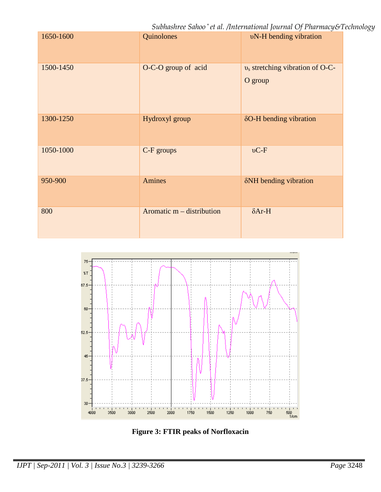*Subhashree Sahoo \* et al. /International Journal Of Pharmacy&Technology*

| 1650-1600 | Quinolones                  | <b>vN-H</b> bending vibration                 |
|-----------|-----------------------------|-----------------------------------------------|
| 1500-1450 | O-C-O group of acid         | $v_s$ stretching vibration of O-C-<br>O group |
| 1300-1250 | Hydroxyl group              | δO-H bending vibration                        |
| 1050-1000 | C-F groups                  | $\nu C$ -F                                    |
| 950-900   | Amines                      | δNH bending vibration                         |
| 800       | Aromatic $m -$ distribution | $\delta$ Ar-H                                 |



**Figure 3: FTIR peaks of Norfloxacin**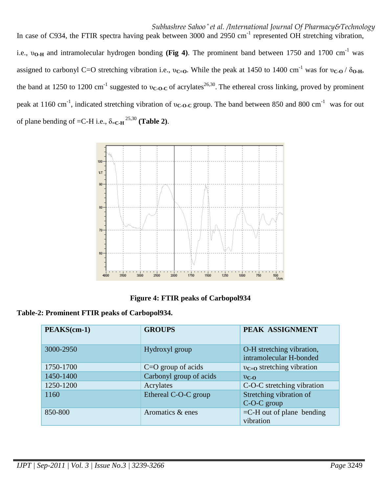*Subhashree Sahoo \* et al. /International Journal Of Pharmacy&Technology* In case of C934, the FTIR spectra having peak between 3000 and 2950 cm<sup>-1</sup> represented OH stretching vibration, i.e., υ<sub>O-H</sub> and intramolecular hydrogen bonding (Fig 4). The prominent band between 1750 and 1700 cm<sup>-1</sup> was assigned to carbonyl C=O stretching vibration i.e.,  $v_{C=0}$ . While the peak at 1450 to 1400 cm<sup>-1</sup> was for  $v_{C=0}$  / δ<sub>0-H</sub>, the band at 1250 to 1200 cm<sup>-1</sup> suggested to  $v_{C \cdot O \cdot C}$  of acrylates<sup>26,30</sup>. The ethereal cross linking, proved by prominent peak at 1160 cm-1, indicated stretching vibration of υ**C-O-C** group. The band between 850 and 800 cm-1 was for out of plane bending of =C-H i.e.,  $\delta$ <sub>=C-H</sub><sup>25,30</sup> (Table 2).



**Figure 4: FTIR peaks of Carbopol934** 

| Table-2: Prominent FTIR peaks of Carbopol934. |  |  |
|-----------------------------------------------|--|--|
|-----------------------------------------------|--|--|

| PEAKS(cm-1) | <b>GROUPS</b>           | PEAK ASSIGNMENT                                      |
|-------------|-------------------------|------------------------------------------------------|
| 3000-2950   | Hydroxyl group          | O-H stretching vibration,<br>intramolecular H-bonded |
| 1750-1700   | $C=O$ group of acids    | $v_{C=0}$ stretching vibration                       |
| 1450-1400   | Carbonyl group of acids | $v_{C-O}$                                            |
| 1250-1200   | Acrylates               | C-O-C stretching vibration                           |
| 1160        | Ethereal C-O-C group    | Stretching vibration of<br>C-O-C group               |
| 850-800     | Aromatics & enes        | $=$ C-H out of plane bending<br>vibration            |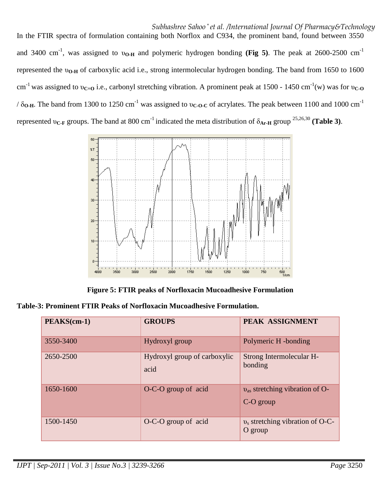*Subhashree Sahoo \* et al. /International Journal Of Pharmacy&Technology* In the FTIR spectra of formulation containing both Norflox and C934, the prominent band, found between 3550 and 3400 cm<sup>-1</sup>, was assigned to υ<sub>O-H</sub> and polymeric hydrogen bonding (Fig 5). The peak at 2600-2500 cm<sup>-1</sup> represented the υ**O-H** of carboxylic acid i.e., strong intermolecular hydrogen bonding. The band from 1650 to 1600 cm<sup>-1</sup> was assigned to  $v_{C=0}$  i.e., carbonyl stretching vibration. A prominent peak at 1500 - 1450 cm<sup>-1</sup>(w) was for  $v_{C=0}$  $/ \delta_{\bf{O-H}}$ . The band from 1300 to 1250 cm<sup>-1</sup> was assigned to v<sub>C-O-C</sub> of acrylates. The peak between 1100 and 1000 cm<sup>-1</sup> represented  $v_{\text{C-F}}$  groups. The band at 800 cm<sup>-1</sup> indicated the meta distribution of  $\delta_{\text{Ar-H}}$  group <sup>25,26,30</sup> (Table 3).



**Figure 5: FTIR peaks of Norfloxacin Mucoadhesive Formulation** 

| Table-3: Prominent FTIR Peaks of Norfloxacin Mucoadhesive Formulation. |  |  |  |
|------------------------------------------------------------------------|--|--|--|
|------------------------------------------------------------------------|--|--|--|

| PEAKS(cm-1) | <b>GROUPS</b>                        | PEAK ASSIGNMENT                                      |
|-------------|--------------------------------------|------------------------------------------------------|
| 3550-3400   | Hydroxyl group                       | Polymeric H -bonding                                 |
| 2650-2500   | Hydroxyl group of carboxylic<br>acid | Strong Intermolecular H-<br>bonding                  |
| 1650-1600   | O-C-O group of acid                  | $v_{\rm as}$ stretching vibration of O-<br>C-O group |
| 1500-1450   | O-C-O group of acid                  | $v_s$ stretching vibration of O-C-<br>O group        |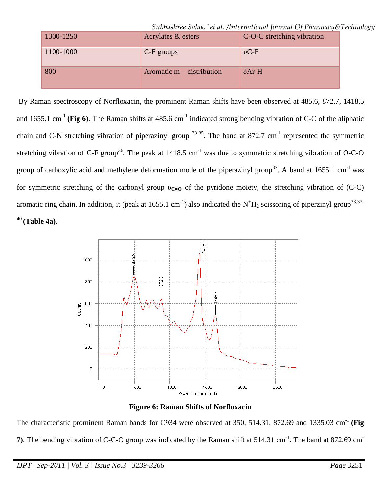*Subhashree Sahoo \* et al. /International Journal Of Pharmacy&Technology*

| 1300-1250 | Acrylates & esters          | C-O-C stretching vibration |
|-----------|-----------------------------|----------------------------|
| 1100-1000 | $C-F$ groups                | $vC-F$                     |
| 800       | Aromatic $m -$ distribution | $\delta$ Ar-H              |

 By Raman spectroscopy of Norfloxacin, the prominent Raman shifts have been observed at 485.6, 872.7, 1418.5 and 1655.1 cm<sup>-1</sup> (Fig 6). The Raman shifts at  $485.6$  cm<sup>-1</sup> indicated strong bending vibration of C-C of the aliphatic chain and C-N stretching vibration of piperazinyl group  $33-35$ . The band at 872.7 cm<sup>-1</sup> represented the symmetric stretching vibration of C-F group<sup>36</sup>. The peak at 1418.5 cm<sup>-1</sup> was due to symmetric stretching vibration of O-C-O group of carboxylic acid and methylene deformation mode of the piperazinyl group<sup>37</sup>. A band at 1655.1 cm<sup>-1</sup> was for symmetric stretching of the carbonyl group υ**C=O** of the pyridone moiety, the stretching vibration of (C-C) aromatic ring chain. In addition, it (peak at 1655.1 cm<sup>-1</sup>) also indicated the N<sup>+</sup>H<sub>2</sub> scissoring of piperzinyl group<sup>33,37-</sup> <sup>40</sup>**(Table 4a)**.



**Figure 6: Raman Shifts of Norfloxacin** 

The characteristic prominent Raman bands for C934 were observed at 350, 514.31, 872.69 and 1335.03 cm<sup>-1</sup> (Fig **7**). The bending vibration of C-C-O group was indicated by the Raman shift at 514.31 cm<sup>-1</sup>. The band at 872.69 cm<sup>-</sup>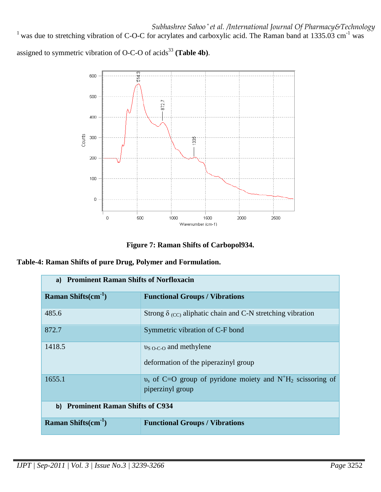<sup>1</sup> was due to stretching vibration of C-O-C for acrylates and carboxylic acid. The Raman band at 1335.03 cm<sup>-1</sup> was

assigned to symmetric vibration of O-C-O of acids<sup>33</sup> (Table 4b).



**Figure 7: Raman Shifts of Carbopol934.**

|  |  |  | Table-4: Raman Shifts of pure Drug, Polymer and Formulation. |
|--|--|--|--------------------------------------------------------------|
|--|--|--|--------------------------------------------------------------|

| a) Prominent Raman Shifts of Norfloxacin |                                                                                                           |
|------------------------------------------|-----------------------------------------------------------------------------------------------------------|
| Raman Shifts $(cm-1)$                    | <b>Functional Groups / Vibrations</b>                                                                     |
| 485.6                                    | Strong $\delta$ (cc) aliphatic chain and C-N stretching vibration                                         |
| 872.7                                    | Symmetric vibration of C-F bond                                                                           |
| 1418.5                                   | $v_{S O-C-O}$ and methylene<br>deformation of the piperazinyl group                                       |
| 1655.1                                   | $v_s$ of C=O group of pyridone moiety and N <sup>+</sup> H <sub>2</sub> scissoring of<br>piperzinyl group |
| b) Prominent Raman Shifts of C934        |                                                                                                           |
| Raman Shifts $(cm-1)$                    | <b>Functional Groups / Vibrations</b>                                                                     |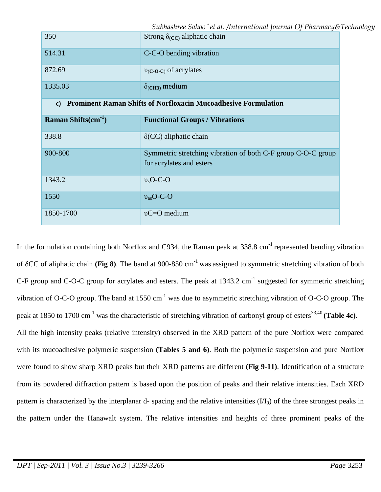*Subhashree Sahoo \* et al. /International Journal Of Pharmacy&Technology*

| 350                      | Strong $\delta_{(CC)}$ aliphatic chain                                                   |
|--------------------------|------------------------------------------------------------------------------------------|
| 514.31                   | C-C-O bending vibration                                                                  |
| 872.69                   | $v_{(C-O-C)}$ of acrylates                                                               |
| 1335.03                  | $\delta$ <sub>(CH3)</sub> medium                                                         |
| c)                       | <b>Prominent Raman Shifts of Norfloxacin Mucoadhesive Formulation</b>                    |
| Raman Shifts $(cm^{-1})$ | <b>Functional Groups / Vibrations</b>                                                    |
| 338.8                    | $\delta$ (CC) aliphatic chain                                                            |
| 900-800                  | Symmetric stretching vibration of both C-F group C-O-C group<br>for acrylates and esters |
| 1343.2                   | $v_s$ O-C-O                                                                              |
| 1550                     | $v_{\rm as}$ O-C-O                                                                       |
| 1850-1700                | $vC = O$ medium                                                                          |

In the formulation containing both Norflox and C934, the Raman peak at  $338.8 \text{ cm}^{-1}$  represented bending vibration of δCC of aliphatic chain **(Fig 8)**. The band at 900-850 cm-1 was assigned to symmetric stretching vibration of both C-F group and C-O-C group for acrylates and esters. The peak at  $1343.2 \text{ cm}^{-1}$  suggested for symmetric stretching vibration of O-C-O group. The band at  $1550 \text{ cm}^{-1}$  was due to asymmetric stretching vibration of O-C-O group. The peak at 1850 to 1700 cm<sup>-1</sup> was the characteristic of stretching vibration of carbonyl group of esters<sup>33,40</sup> (Table 4c). All the high intensity peaks (relative intensity) observed in the XRD pattern of the pure Norflox were compared with its mucoadhesive polymeric suspension **(Tables 5 and 6)**. Both the polymeric suspension and pure Norflox were found to show sharp XRD peaks but their XRD patterns are different **(Fig 9-11)**. Identification of a structure from its powdered diffraction pattern is based upon the position of peaks and their relative intensities. Each XRD pattern is characterized by the interplanar d- spacing and the relative intensities  $(VI_0)$  of the three strongest peaks in the pattern under the Hanawalt system. The relative intensities and heights of three prominent peaks of the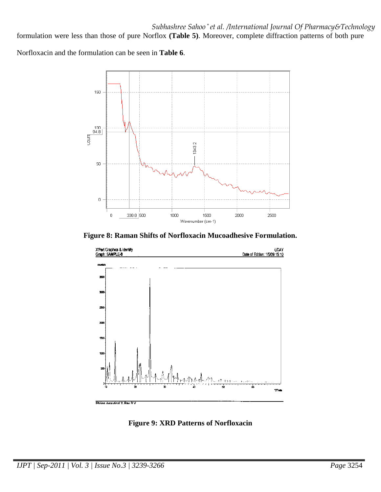formulation were less than those of pure Norflox **(Table 5)**. Moreover, complete diffraction patterns of both pure

Norfloxacin and the formulation can be seen in **Table 6**.



**Figure 8: Raman Shifts of Norfloxacin Mucoadhesive Formulation.** 



**Figure 9: XRD Patterns of Norfloxacin**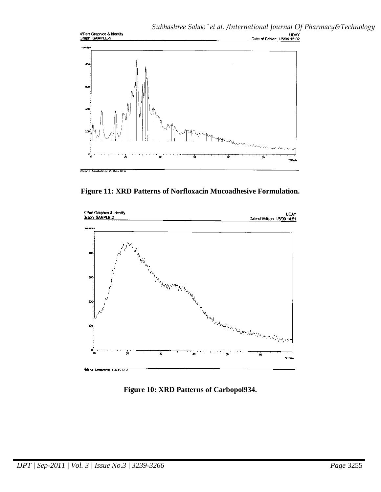

**Figure 11: XRD Patterns of Norfloxacin Mucoadhesive Formulation.** 



**Figure 10: XRD Patterns of Carbopol934.**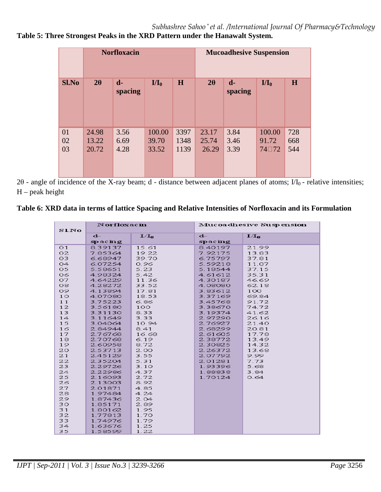# **Table 5: Three Strongest Peaks in the XRD Pattern under the Hanawalt System.**

|                | <b>Norfloxacin</b>      |                      |                          |                      | <b>Mucoadhesive Suspension</b> |                           |                          |                   |
|----------------|-------------------------|----------------------|--------------------------|----------------------|--------------------------------|---------------------------|--------------------------|-------------------|
| <b>Sl.No</b>   | $2\theta$               | $d-$<br>spacing      | $I/I_0$                  | H                    | $2\theta$                      | $\mathbf{d}$ -<br>spacing | $I/I_0$                  | H                 |
| 01<br>02<br>03 | 24.98<br>13.22<br>20.72 | 3.56<br>6.69<br>4.28 | 100.00<br>39.70<br>33.52 | 3397<br>1348<br>1139 | 23.17<br>25.74<br>26.29        | 3.84<br>3.46<br>3.39      | 100.00<br>91.72<br>74□72 | 728<br>668<br>544 |

2θ - angle of incidence of the X-ray beam; d - distance between adjacent planes of atoms;  $UI_0$  - relative intensities;  $H$  – peak height

# **Table 6: XRD data in terms of lattice Spacing and Relative Intensities of Norfloxacin and its Formulation**

| <b>SLNo</b>    | Norfloxacin |         | Mucoadhesive Suspension |         |  |
|----------------|-------------|---------|-------------------------|---------|--|
|                | $d-$        | $I/I_0$ | $d-$                    | $I/I_n$ |  |
|                | spacing     |         | spacing                 |         |  |
| O <sub>1</sub> | 8.39137     | 15.61   | 8.40197                 | 21.99   |  |
| 02             | 7.85364     | 19.22   | 7.92175                 | 13.83   |  |
| 03             | 6.68947     | 39.70   | 6.75797                 | 37.81   |  |
| O4             | 6.07254     | 0.96    | 5.59218                 | 11.07   |  |
| 05             | 5.58651     | 5.23    | 5.18544                 | 37.15   |  |
| O6             | 4.98324     | 5.42    | 4.61612                 | 35.31   |  |
| 07.            | 4.64229     | 11.36   | 4.30187                 | 46.69   |  |
| O <sub>8</sub> | 4.28272     | 33.52   | 4.08080                 | 62.18   |  |
| 09.            | 4.13894     | 17.81   | 3.83612                 | 100     |  |
| 10             | 4.07080     | 18.53   | 3.37169                 | 69.84   |  |
| 11             | 3.75223     | 6.86    | 3.45768                 | 91.72   |  |
| 12             | 3.56180     | 100     | 3.38670                 | 74.72   |  |
| 13             | 3.31130     | 8.33    | 3.19374                 | 41.62   |  |
| 14             | 3.11649     | 3.33    | 2.97290                 | 26.16   |  |
| 15             | 3.04064     | 10.94   | 2.76927                 | 21.40   |  |
| 16             | 2.84944     | 8.41    | 2.68299                 | 20.81   |  |
| 17             | 2.76768     | 16.68   | 2.61605                 | 17.78   |  |
| 18             | 2.70768     | 6.19    | 2.38772                 | 13.49   |  |
| 19             | 2.60958     | 8.72    | 2.30825                 | 14.32   |  |
| 20             | 2.53713     | 2.00    | 2.26372                 | 13.68   |  |
| 21             | 2.45129     | 3.55    | 2.07792                 | 9.99    |  |
| 22             | 2.35204     | 5.31    | 2.01281                 | 7.73    |  |
| 23             | 2.29726     | 3.10    | 1.93396                 | 5.68    |  |
| 24             | 2.22986     | 4.37    | 1.88838                 | 3.84    |  |
| 25             | 2.16093     | 2.72    | 1.70124                 | 0.64    |  |
| 26             | 2.13003     | 8.92    |                         |         |  |
| 27             | 2.01871     | 4.85    |                         |         |  |
| 28             | 1.97484     | 4.24    |                         |         |  |
| 29             | 1.87436     | 2.04    |                         |         |  |
| 30             | 1.85171     | 2.89    |                         |         |  |
| 31             | 1.80162     | 1.95    |                         |         |  |
| 32             | 1.77813     | 1.70    |                         |         |  |
| 33             | 1.74976     | 1.79    |                         |         |  |
| 34             | 1.63676     | 1.25    |                         |         |  |
| 35             | 1.58599     | 1.22    |                         |         |  |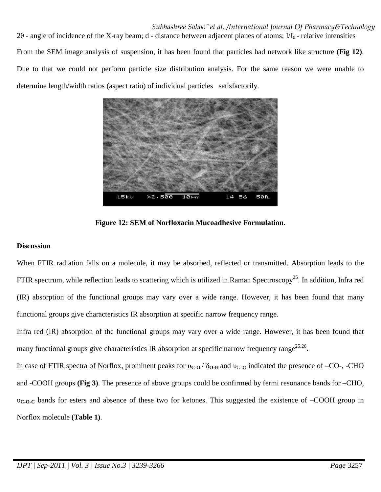*Subhashree Sahoo \* et al. /International Journal Of Pharmacy&Technology* 2 $\theta$  - angle of incidence of the X-ray beam; d - distance between adjacent planes of atoms;  $I/I_0$ - relative intensities From the SEM image analysis of suspension, it has been found that particles had network like structure **(Fig 12)**. Due to that we could not perform particle size distribution analysis. For the same reason we were unable to determine length/width ratios (aspect ratio) of individual particles satisfactorily.



**Figure 12: SEM of Norfloxacin Mucoadhesive Formulation.** 

# **Discussion**

When FTIR radiation falls on a molecule, it may be absorbed, reflected or transmitted. Absorption leads to the FTIR spectrum, while reflection leads to scattering which is utilized in Raman Spectroscopy<sup>25</sup>. In addition, Infra red (IR) absorption of the functional groups may vary over a wide range. However, it has been found that many functional groups give characteristics IR absorption at specific narrow frequency range.

Infra red (IR) absorption of the functional groups may vary over a wide range. However, it has been found that many functional groups give characteristics IR absorption at specific narrow frequency range<sup>25,26</sup>.

In case of FTIR spectra of Norflox, prominent peaks for  $v_{C-O}$  / δ<sub>O-H</sub> and  $v_{C-O}$  indicated the presence of –CO-, -CHO and -COOH groups **(Fig 3)**. The presence of above groups could be confirmed by fermi resonance bands for –CHO, υ**C-O-C** bands for esters and absence of these two for ketones. This suggested the existence of –COOH group in Norflox molecule **(Table 1)**.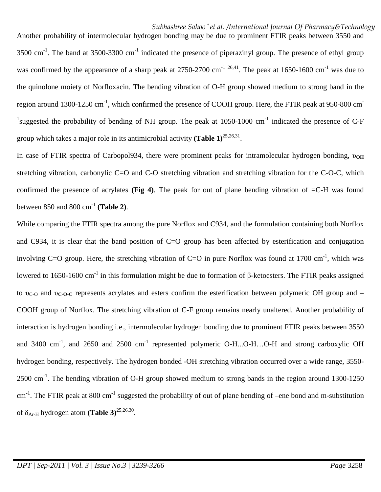Another probability of intermolecular hydrogen bonding may be due to prominent FTIR peaks between 3550 and  $3500 \text{ cm}^{-1}$ . The band at  $3500-3300 \text{ cm}^{-1}$  indicated the presence of piperazinyl group. The presence of ethyl group was confirmed by the appearance of a sharp peak at 2750-2700 cm<sup>-1 26,41</sup>. The peak at 1650-1600 cm<sup>-1</sup> was due to the quinolone moiety of Norfloxacin. The bending vibration of O-H group showed medium to strong band in the region around 1300-1250 cm<sup>-1</sup>, which confirmed the presence of COOH group. Here, the FTIR peak at 950-800 cm<sup>-</sup> <sup>1</sup>suggested the probability of bending of NH group. The peak at 1050-1000 cm<sup>-1</sup> indicated the presence of C-F group which takes a major role in its antimicrobial activity **(Table 1)**25,26,31 .

In case of FTIR spectra of Carbopol934, there were prominent peaks for intramolecular hydrogen bonding, υ<sub>OH</sub> stretching vibration, carbonylic C=O and C-O stretching vibration and stretching vibration for the C-O-C, which confirmed the presence of acrylates **(Fig 4)**. The peak for out of plane bending vibration of =C-H was found between 850 and 800 cm-1 **(Table 2)**.

While comparing the FTIR spectra among the pure Norflox and C934, and the formulation containing both Norflox and C934, it is clear that the band position of C=O group has been affected by esterification and conjugation involving C=O group. Here, the stretching vibration of C=O in pure Norflox was found at 1700 cm<sup>-1</sup>, which was lowered to 1650-1600 cm<sup>-1</sup> in this formulation might be due to formation of β-ketoesters. The FTIR peaks assigned to υ<sub>C-O</sub> and υ<sub>C-O-C</sub> represents acrylates and esters confirm the esterification between polymeric OH group and – COOH group of Norflox. The stretching vibration of C-F group remains nearly unaltered. Another probability of interaction is hydrogen bonding i.e., intermolecular hydrogen bonding due to prominent FTIR peaks between 3550 and 3400 cm<sup>-1</sup>, and 2650 and 2500 cm<sup>-1</sup> represented polymeric O-H...O-H...O-H and strong carboxylic OH hydrogen bonding, respectively. The hydrogen bonded -OH stretching vibration occurred over a wide range, 3550- 2500 cm<sup>-1</sup>. The bending vibration of O-H group showed medium to strong bands in the region around 1300-1250  $cm^{-1}$ . The FTIR peak at 800 cm<sup>-1</sup> suggested the probability of out of plane bending of –ene bond and m-substitution of  $\delta$ <sub>Ar-H</sub> hydrogen atom (**Table 3**)<sup>25,26,30</sup>.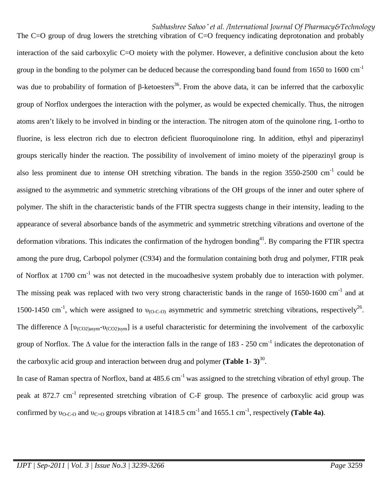The C=O group of drug lowers the stretching vibration of C=O frequency indicating deprotonation and probably interaction of the said carboxylic C=O moiety with the polymer. However, a definitive conclusion about the keto group in the bonding to the polymer can be deduced because the corresponding band found from  $1650$  to  $1600 \text{ cm}^{-1}$ was due to probability of formation of  $\beta$ -ketoesters<sup>36</sup>. From the above data, it can be inferred that the carboxylic group of Norflox undergoes the interaction with the polymer, as would be expected chemically. Thus, the nitrogen atoms aren't likely to be involved in binding or the interaction. The nitrogen atom of the quinolone ring, 1-ortho to fluorine, is less electron rich due to electron deficient fluoroquinolone ring. In addition, ethyl and piperazinyl groups sterically hinder the reaction. The possibility of involvement of imino moiety of the piperazinyl group is also less prominent due to intense OH stretching vibration. The bands in the region 3550-2500 cm<sup>-1</sup> could be assigned to the asymmetric and symmetric stretching vibrations of the OH groups of the inner and outer sphere of polymer. The shift in the characteristic bands of the FTIR spectra suggests change in their intensity, leading to the appearance of several absorbance bands of the asymmetric and symmetric stretching vibrations and overtone of the deformation vibrations. This indicates the confirmation of the hydrogen bonding<sup>41</sup>. By comparing the FTIR spectra among the pure drug, Carbopol polymer (C934) and the formulation containing both drug and polymer, FTIR peak of Norflox at 1700 cm<sup>-1</sup> was not detected in the mucoadhesive system probably due to interaction with polymer. The missing peak was replaced with two very strong characteristic bands in the range of  $1650-1600$  cm<sup>-1</sup> and at 1500-1450 cm<sup>-1</sup>, which were assigned to  $v_{(O-CO)}$  asymmetric and symmetric stretching vibrations, respectively<sup>26</sup>. The difference  $\Delta$  [ $v_{(CO2)asym}$ - $v_{(CO2)sym}$ ] is a useful characteristic for determining the involvement of the carboxylic group of Norflox. The  $\Delta$  value for the interaction falls in the range of 183 - 250 cm<sup>-1</sup> indicates the deprotonation of the carboxylic acid group and interaction between drug and polymer (**Table 1-3**)<sup>30</sup>.

In case of Raman spectra of Norflox, band at  $485.6 \text{ cm}^{-1}$  was assigned to the stretching vibration of ethyl group. The peak at 872.7 cm<sup>-1</sup> represented stretching vibration of C-F group. The presence of carboxylic acid group was confirmed by  $v_{O-C-O}$  and  $v_{C=O}$  groups vibration at 1418.5 cm<sup>-1</sup> and 1655.1 cm<sup>-1</sup>, respectively (**Table 4a**).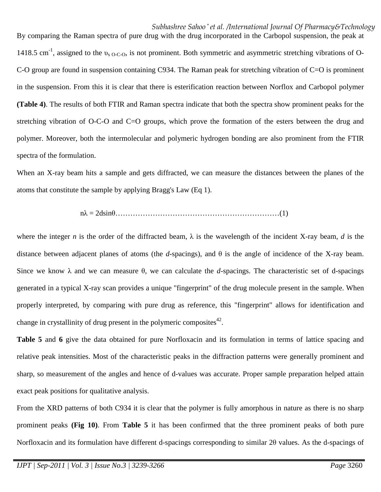By comparing the Raman spectra of pure drug with the drug incorporated in the Carbopol suspension, the peak at 1418.5 cm<sup>-1</sup>, assigned to the  $v<sub>s O-C-O</sub>$ , is not prominent. Both symmetric and asymmetric stretching vibrations of O-C-O group are found in suspension containing C934. The Raman peak for stretching vibration of C=O is prominent in the suspension. From this it is clear that there is esterification reaction between Norflox and Carbopol polymer **(Table 4)**. The results of both FTIR and Raman spectra indicate that both the spectra show prominent peaks for the stretching vibration of O-C-O and C=O groups, which prove the formation of the esters between the drug and polymer. Moreover, both the intermolecular and polymeric hydrogen bonding are also prominent from the FTIR spectra of the formulation.

When an X-ray beam hits a sample and gets diffracted, we can measure the distances between the planes of the atoms that constitute the sample by applying Bragg's Law (Eq 1).

nλ = 2dsinθ…………………………………………………………(1)

where the integer *n* is the order of the diffracted beam,  $\lambda$  is the wavelength of the incident X-ray beam, *d* is the distance between adjacent planes of atoms (the *d*-spacings), and θ is the angle of incidence of the X-ray beam. Since we know  $\lambda$  and we can measure  $\theta$ , we can calculate the *d*-spacings. The characteristic set of d-spacings generated in a typical X-ray scan provides a unique "fingerprint" of the drug molecule present in the sample. When properly interpreted, by comparing with pure drug as reference, this "fingerprint" allows for identification and change in crystallinity of drug present in the polymeric composites<sup>42</sup>.

**Table 5** and **6** give the data obtained for pure Norfloxacin and its formulation in terms of lattice spacing and relative peak intensities. Most of the characteristic peaks in the diffraction patterns were generally prominent and sharp, so measurement of the angles and hence of d-values was accurate. Proper sample preparation helped attain exact peak positions for qualitative analysis.

From the XRD patterns of both C934 it is clear that the polymer is fully amorphous in nature as there is no sharp prominent peaks **(Fig 10)**. From **Table 5** it has been confirmed that the three prominent peaks of both pure Norfloxacin and its formulation have different d-spacings corresponding to similar 2θ values. As the d-spacings of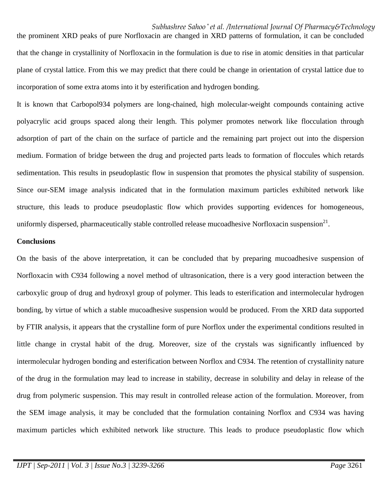the prominent XRD peaks of pure Norfloxacin are changed in XRD patterns of formulation, it can be concluded that the change in crystallinity of Norfloxacin in the formulation is due to rise in atomic densities in that particular plane of crystal lattice. From this we may predict that there could be change in orientation of crystal lattice due to incorporation of some extra atoms into it by esterification and hydrogen bonding.

It is known that Carbopol934 polymers are long-chained, high molecular-weight compounds containing active polyacrylic acid groups spaced along their length. This polymer promotes network like flocculation through adsorption of part of the chain on the surface of particle and the remaining part project out into the dispersion medium. Formation of bridge between the drug and projected parts leads to formation of floccules which retards sedimentation. This results in pseudoplastic flow in suspension that promotes the physical stability of suspension. Since our-SEM image analysis indicated that in the formulation maximum particles exhibited network like structure, this leads to produce pseudoplastic flow which provides supporting evidences for homogeneous, uniformly dispersed, pharmaceutically stable controlled release mucoadhesive Norfloxacin suspension $^{21}$ .

#### **Conclusions**

On the basis of the above interpretation, it can be concluded that by preparing mucoadhesive suspension of Norfloxacin with C934 following a novel method of ultrasonication, there is a very good interaction between the carboxylic group of drug and hydroxyl group of polymer. This leads to esterification and intermolecular hydrogen bonding, by virtue of which a stable mucoadhesive suspension would be produced. From the XRD data supported by FTIR analysis, it appears that the crystalline form of pure Norflox under the experimental conditions resulted in little change in crystal habit of the drug. Moreover, size of the crystals was significantly influenced by intermolecular hydrogen bonding and esterification between Norflox and C934. The retention of crystallinity nature of the drug in the formulation may lead to increase in stability, decrease in solubility and delay in release of the drug from polymeric suspension. This may result in controlled release action of the formulation. Moreover, from the SEM image analysis, it may be concluded that the formulation containing Norflox and C934 was having maximum particles which exhibited network like structure. This leads to produce pseudoplastic flow which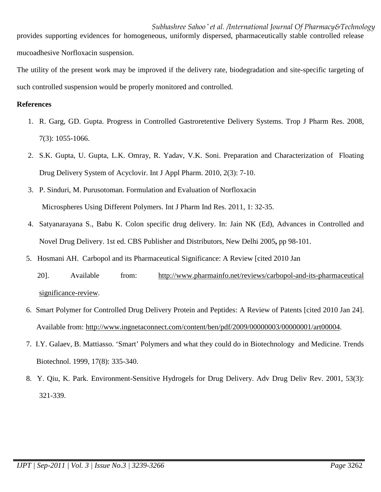*Subhashree Sahoo \* et al. /International Journal Of Pharmacy&Technology* provides supporting evidences for homogeneous, uniformly dispersed, pharmaceutically stable controlled release mucoadhesive Norfloxacin suspension.

The utility of the present work may be improved if the delivery rate, biodegradation and site-specific targeting of such controlled suspension would be properly monitored and controlled.

### **References**

- 1. R. Garg, GD. Gupta. Progress in Controlled Gastroretentive Delivery Systems. Trop J Pharm Res. 2008, 7(3): 1055-1066.
- 2. S.K. Gupta, U. Gupta, L.K. Omray, R. Yadav, V.K. Soni. Preparation and Characterization of Floating Drug Delivery System of Acyclovir. Int J Appl Pharm. 2010, 2(3): 7-10.
- 3. P. Sinduri, M. Purusotoman. Formulation and Evaluation of Norfloxacin Microspheres Using Different Polymers. Int J Pharm Ind Res. 2011, 1: 32-35.
- 4. Satyanarayana S., Babu K. Colon specific drug delivery. In: Jain NK (Ed), Advances in Controlled and Novel Drug Delivery. 1st ed. CBS Publisher and Distributors, New Delhi 2005**,** pp 98-101.
- 5. Hosmani AH. Carbopol and its Pharmaceutical Significance: A Review [cited 2010 Jan
	- 20]. Available from: http://www.pharmainfo.net/reviews/carbopol-and-its-pharmaceutical significance-review.
- 6. Smart Polymer for Controlled Drug Delivery Protein and Peptides: A Review of Patents [cited 2010 Jan 24]. Available from: http://www.ingnetaconnect.com/content/ben/pdf/2009/00000003/00000001/art00004.
- 7. I.Y. Galaev, B. Mattiasso. 'Smart' Polymers and what they could do in Biotechnology and Medicine. Trends Biotechnol. 1999, 17(8): 335-340.
- 8. Y. Qiu, K. Park. Environment-Sensitive Hydrogels for Drug Delivery. Adv Drug Deliv Rev. 2001, 53(3): 321-339.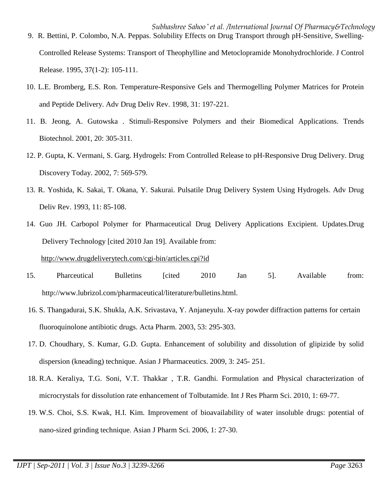- *Subhashree Sahoo \* et al. /International Journal Of Pharmacy&Technology* 9. R. Bettini, P. Colombo, N.A. Peppas. Solubility Effects on Drug Transport through pH-Sensitive, Swelling-Controlled Release Systems: Transport of Theophylline and Metoclopramide Monohydrochloride. J Control Release. 1995, 37(1-2): 105-111.
- 10. L.E. Bromberg, E.S. Ron. Temperature-Responsive Gels and Thermogelling Polymer Matrices for Protein and Peptide Delivery. Adv Drug Deliv Rev. 1998, 31: 197-221.
- 11. B. Jeong, A. Gutowska . Stimuli-Responsive Polymers and their Biomedical Applications. Trends Biotechnol. 2001, 20: 305-311.
- 12. P. Gupta, K. Vermani, S. Garg. Hydrogels: From Controlled Release to pH-Responsive Drug Delivery. Drug Discovery Today. 2002, 7: 569-579.
- 13. R. Yoshida, K. Sakai, T. Okana, Y. Sakurai. Pulsatile Drug Delivery System Using Hydrogels. Adv Drug Deliv Rev. 1993, 11: 85-108.
- 14. Guo JH. Carbopol Polymer for Pharmaceutical Drug Delivery Applications Excipient. Updates.Drug Delivery Technology [cited 2010 Jan 19]. Available from:

### http://www.drugdeliverytech.com/cgi-bin/articles.cpi?id

- 15. Pharceutical Bulletins [cited 2010 Jan 5]. Available from: http://www.lubrizol.com/pharmaceutical/literature/bulletins.html.
	- 16. S. Thangadurai, S.K. Shukla, A.K. Srivastava, Y. Anjaneyulu. X-ray powder diffraction patterns for certain fluoroquinolone antibiotic drugs. Acta Pharm. 2003, 53: 295-303.
	- 17. D. Choudhary, S. Kumar, G.D. Gupta. Enhancement of solubility and dissolution of glipizide by solid dispersion (kneading) technique. Asian J Pharmaceutics. 2009, 3: 245- 251.
	- 18. R.A. Keraliya, T.G. Soni, V.T. Thakkar , T.R. Gandhi. Formulation and Physical characterization of microcrystals for dissolution rate enhancement of Tolbutamide. Int J Res Pharm Sci. 2010, 1: 69-77.
	- 19. W.S. Choi, S.S. Kwak, H.I. Kim. Improvement of bioavailability of water insoluble drugs: potential of nano-sized grinding technique. Asian J Pharm Sci. 2006, 1: 27-30.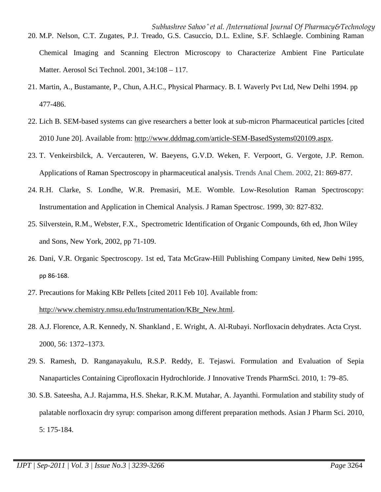- *Subhashree Sahoo \* et al. /International Journal Of Pharmacy&Technology* 20. M.P. Nelson, C.T. Zugates, P.J. Treado, G.S. Casuccio, D.L. Exline, S.F. Schlaegle. Combining Raman Chemical Imaging and Scanning Electron Microscopy to Characterize Ambient Fine Particulate Matter. Aerosol Sci Technol. 2001, 34:108 – 117.
- 21. Martin, A., Bustamante, P., Chun, A.H.C., Physical Pharmacy. B. I. Waverly Pvt Ltd, New Delhi 1994. pp 477-486.
- 22. Lich B. SEM-based systems can give researchers a better look at sub-micron Pharmaceutical particles [cited 2010 June 20]. Available from: http://www.dddmag.com/article-SEM-BasedSystems020109.aspx.
- 23. T. Venkeirsbilck, A. Vercauteren, W. Baeyens, G.V.D. Weken, F. Verpoort, G. Vergote, J.P. Remon. Applications of Raman Spectroscopy in pharmaceutical analysis. Trends Anal Chem. 2002, 21: 869-877.
- 24. R.H. Clarke, S. Londhe, W.R. Premasiri, M.E. Womble. Low-Resolution Raman Spectroscopy: Instrumentation and Application in Chemical Analysis. J Raman Spectrosc. 1999, 30: 827-832.
- 25. Silverstein, R.M., Webster, F.X., Spectrometric Identification of Organic Compounds, 6th ed, Jhon Wiley and Sons, New York, 2002, pp 71-109.
- 26. Dani, V.R. Organic Spectroscopy. 1st ed, Tata McGraw-Hill Publishing Company Limited, New Delhi 1995, pp 86-168.
- 27. Precautions for Making KBr Pellets [cited 2011 Feb 10]. Available from: http://www.chemistry.nmsu.edu/Instrumentation/KBr\_New.html.
- 28. A.J. Florence, A.R. Kennedy, N. Shankland , E. Wright, A. Al-Rubayi. Norfloxacin dehydrates. Acta Cryst. 2000, 56: 1372–1373.
- 29. S. Ramesh, D. Ranganayakulu, R.S.P. Reddy, E. Tejaswi. Formulation and Evaluation of Sepia Nanaparticles Containing Ciprofloxacin Hydrochloride. J Innovative Trends PharmSci. 2010, 1: 79–85.
- 30. S.B. Sateesha, A.J. Rajamma, H.S. Shekar, R.K.M. Mutahar, A. Jayanthi. Formulation and stability study of palatable norfloxacin dry syrup: comparison among different preparation methods. Asian J Pharm Sci. 2010, 5: 175-184.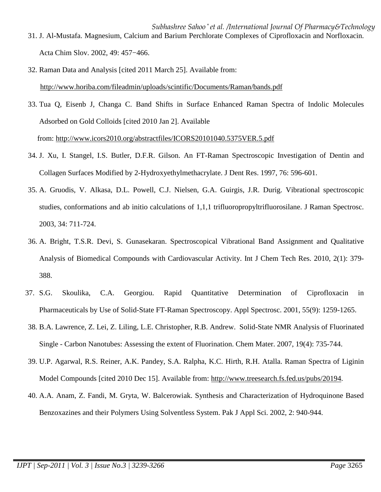- *Subhashree Sahoo \* et al. /International Journal Of Pharmacy&Technology* 31. J. Al-Mustafa. Magnesium, Calcium and Barium Perchlorate Complexes of Ciprofloxacin and Norfloxacin. Acta Chim Slov. 2002, 49: 457−466.
- 32. Raman Data and Analysis [cited 2011 March 25]. Available from: http://www.horiba.com/fileadmin/uploads/scintific/Documents/Raman/bands.pdf
- 33. Tua Q, Eisenb J, Changa C. Band Shifts in Surface Enhanced Raman Spectra of Indolic Molecules Adsorbed on Gold Colloids [cited 2010 Jan 2]. Available from: http://www.icors2010.org/abstractfiles/ICORS20101040.5375VER.5.pdf
- 34. J. Xu, I. Stangel, I.S. Butler, D.F.R. Gilson. An FT-Raman Spectroscopic Investigation of Dentin and Collagen Surfaces Modified by 2-Hydroxyethylmethacrylate. J Dent Res. 1997, 76: 596-601.
- 35. A. Gruodis, V. Alkasa, D.L. Powell, C.J. Nielsen, G.A. Guirgis, J.R. Durig. Vibrational spectroscopic studies, conformations and ab initio calculations of 1,1,1 trifluoropropyltrifluorosilane. J Raman Spectrosc. 2003, 34: 711-724.
- 36. A. Bright, T.S.R. Devi, S. Gunasekaran. Spectroscopical Vibrational Band Assignment and Qualitative Analysis of Biomedical Compounds with Cardiovascular Activity. Int J Chem Tech Res. 2010, 2(1): 379- 388.
- 37. S.G. Skoulika, C.A. Georgiou. Rapid Quantitative Determination of Ciprofloxacin in Pharmaceuticals by Use of Solid-State FT-Raman Spectroscopy. Appl Spectrosc. 2001, 55(9): 1259-1265.
- 38. B.A. Lawrence, Z. Lei, Z. Liling, L.E. Christopher, R.B. Andrew. Solid-State NMR Analysis of Fluorinated Single - Carbon Nanotubes: Assessing the extent of Fluorination. Chem Mater. 2007, 19(4): 735-744.
- 39. U.P. Agarwal, R.S. Reiner, A.K. Pandey, S.A. Ralpha, K.C. Hirth, R.H. Atalla. Raman Spectra of Liginin Model Compounds [cited 2010 Dec 15]. Available from: http://www.treesearch.fs.fed.us/pubs/20194.
- 40. A.A. Anam, Z. Fandi, M. Gryta, W. Balcerowiak. Synthesis and Characterization of Hydroquinone Based Benzoxazines and their Polymers Using Solventless System. Pak J Appl Sci. 2002, 2: 940-944.